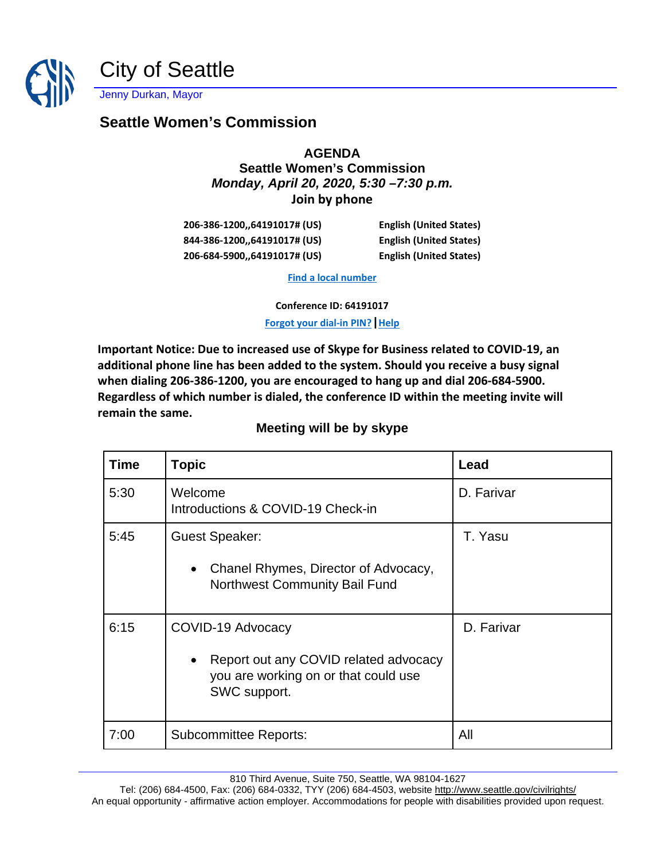

## **Seattle Women's Commission**

## **AGENDA Seattle Women's Commission** *Monday, April 20, 2020, 5:30 –7:30 p.m.* **Join by phone**

| 206-386-1200,,64191017# (US) |  |
|------------------------------|--|
| 844-386-1200,,64191017# (US) |  |
| 206-684-5900,,64191017# (US) |  |

**206-206 English (United States) English (United States) 206-English (United States)** 

**[Find a local number](https://dialin.seattle.gov/?id=64191017)**

**Conference ID: 64191017**

**[Forgot your dial-in PIN?](https://dialin.seattle.gov/)[|Help](https://o15.officeredir.microsoft.com/r/rlidLync15?clid=1033&p1=5&p2=2009)**

**Important Notice: Due to increased use of Skype for Business related to COVID-19, an additional phone line has been added to the system. Should you receive a busy signal when dialing 206-386-1200, you are encouraged to hang up and dial 206-684-5900. Regardless of which number is dialed, the conference ID within the meeting invite will remain the same.**

## **Meeting will be by skype**

| <b>Time</b> | <b>Topic</b>                                                                                                       | Lead       |
|-------------|--------------------------------------------------------------------------------------------------------------------|------------|
| 5:30        | Welcome<br>Introductions & COVID-19 Check-in                                                                       | D. Farivar |
| 5:45        | <b>Guest Speaker:</b><br>Chanel Rhymes, Director of Advocacy,<br>$\bullet$<br>Northwest Community Bail Fund        | T. Yasu    |
| 6:15        | COVID-19 Advocacy<br>Report out any COVID related advocacy<br>you are working on or that could use<br>SWC support. | D. Farivar |
| 7:00        | <b>Subcommittee Reports:</b>                                                                                       | All        |

810 Third Avenue, Suite 750, Seattle, WA 98104-1627

Tel: (206) 684-4500, Fax: (206) 684-0332, TYY (206) 684-4503, websit[e http://www.seattle.gov/civilrights/](http://www.seattle.gov/civilrights/) An equal opportunity - affirmative action employer. Accommodations for people with disabilities provided upon request.